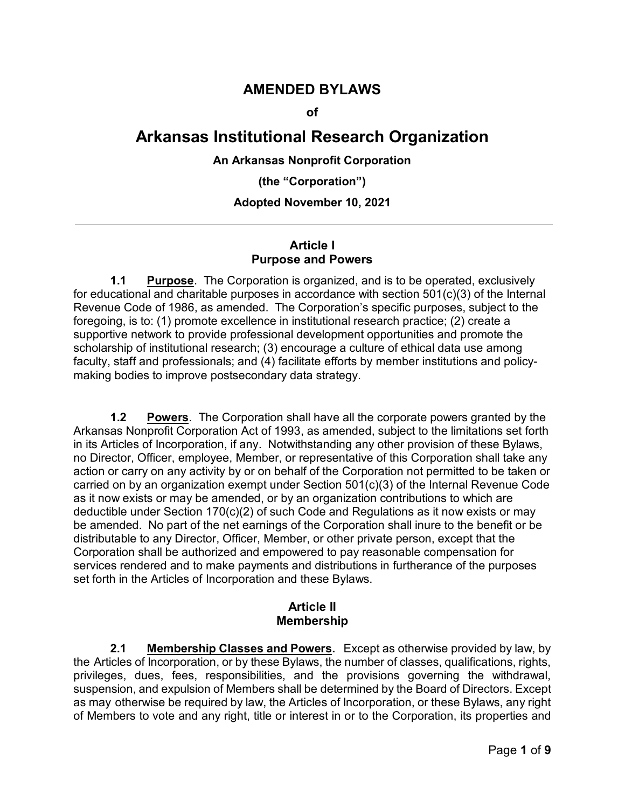# **AMENDED BYLAWS**

**of**

# **Arkansas Institutional Research Organization**

#### **An Arkansas Nonprofit Corporation**

**(the "Corporation")**

#### **Adopted November 10, 2021**

#### **Article I Purpose and Powers**

**1.1 Purpose**. The Corporation is organized, and is to be operated, exclusively for educational and charitable purposes in accordance with section 501(c)(3) of the Internal Revenue Code of 1986, as amended. The Corporation's specific purposes, subject to the foregoing, is to: (1) promote excellence in institutional research practice; (2) create a supportive network to provide professional development opportunities and promote the scholarship of institutional research; (3) encourage a culture of ethical data use among faculty, staff and professionals; and (4) facilitate efforts by member institutions and policymaking bodies to improve postsecondary data strategy.

**1.2 Powers**. The Corporation shall have all the corporate powers granted by the Arkansas Nonprofit Corporation Act of 1993, as amended, subject to the limitations set forth in its Articles of Incorporation, if any. Notwithstanding any other provision of these Bylaws, no Director, Officer, employee, Member, or representative of this Corporation shall take any action or carry on any activity by or on behalf of the Corporation not permitted to be taken or carried on by an organization exempt under Section 501(c)(3) of the Internal Revenue Code as it now exists or may be amended, or by an organization contributions to which are deductible under Section 170(c)(2) of such Code and Regulations as it now exists or may be amended. No part of the net earnings of the Corporation shall inure to the benefit or be distributable to any Director, Officer, Member, or other private person, except that the Corporation shall be authorized and empowered to pay reasonable compensation for services rendered and to make payments and distributions in furtherance of the purposes set forth in the Articles of Incorporation and these Bylaws.

#### **Article II Membership**

**2.1 Membership Classes and Powers.** Except as otherwise provided by law, by the Articles of Incorporation, or by these Bylaws, the number of classes, qualifications, rights, privileges, dues, fees, responsibilities, and the provisions governing the withdrawal, suspension, and expulsion of Members shall be determined by the Board of Directors. Except as may otherwise be required by law, the Articles of Incorporation, or these Bylaws, any right of Members to vote and any right, title or interest in or to the Corporation, its properties and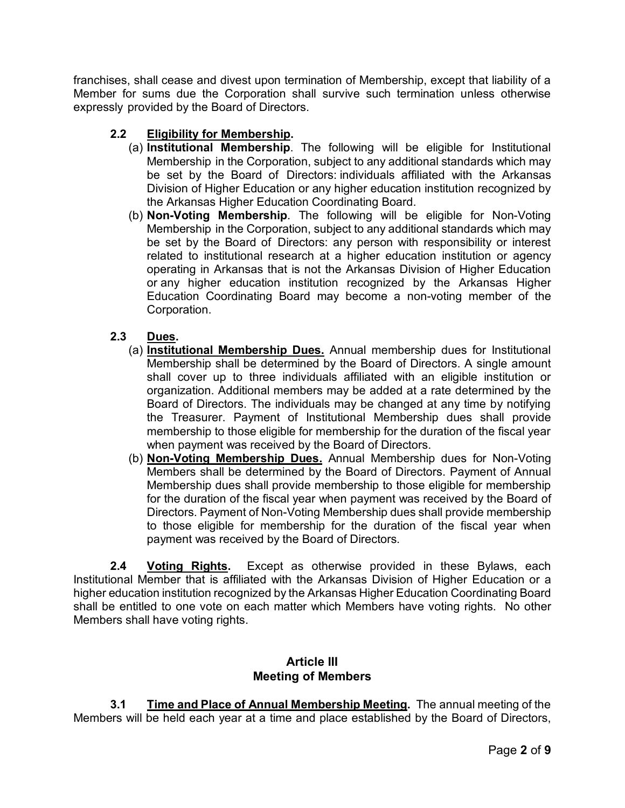franchises, shall cease and divest upon termination of Membership, except that liability of a Member for sums due the Corporation shall survive such termination unless otherwise expressly provided by the Board of Directors.

# **2.2 Eligibility for Membership.**

- (a) **Institutional Membership**. The following will be eligible for Institutional Membership in the Corporation, subject to any additional standards which may be set by the Board of Directors: individuals affiliated with the Arkansas Division of Higher Education or any higher education institution recognized by the Arkansas Higher Education Coordinating Board.
- (b) **Non-Voting Membership**. The following will be eligible for Non-Voting Membership in the Corporation, subject to any additional standards which may be set by the Board of Directors: any person with responsibility or interest related to institutional research at a higher education institution or agency operating in Arkansas that is not the Arkansas Division of Higher Education or any higher education institution recognized by the Arkansas Higher Education Coordinating Board may become a non-voting member of the Corporation.

## **2.3 Dues.**

- (a) **Institutional Membership Dues.** Annual membership dues for Institutional Membership shall be determined by the Board of Directors. A single amount shall cover up to three individuals affiliated with an eligible institution or organization. Additional members may be added at a rate determined by the Board of Directors. The individuals may be changed at any time by notifying the Treasurer. Payment of Institutional Membership dues shall provide membership to those eligible for membership for the duration of the fiscal year when payment was received by the Board of Directors.
- (b) **Non-Voting Membership Dues.** Annual Membership dues for Non-Voting Members shall be determined by the Board of Directors. Payment of Annual Membership dues shall provide membership to those eligible for membership for the duration of the fiscal year when payment was received by the Board of Directors. Payment of Non-Voting Membership dues shall provide membership to those eligible for membership for the duration of the fiscal year when payment was received by the Board of Directors.

**2.4 Voting Rights.** Except as otherwise provided in these Bylaws, each Institutional Member that is affiliated with the Arkansas Division of Higher Education or a higher education institution recognized by the Arkansas Higher Education Coordinating Board shall be entitled to one vote on each matter which Members have voting rights. No other Members shall have voting rights.

## **Article III Meeting of Members**

**3.1 Time and Place of Annual Membership Meeting.** The annual meeting of the Members will be held each year at a time and place established by the Board of Directors,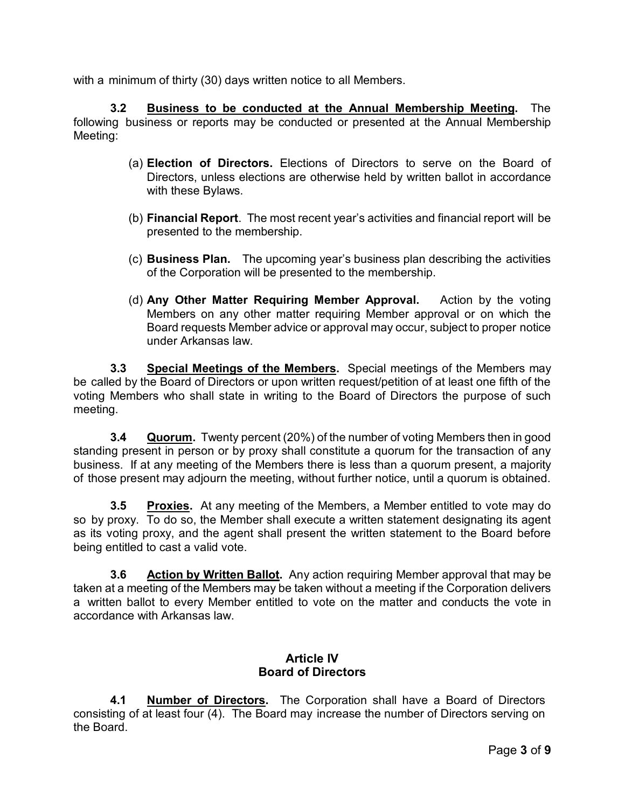with a minimum of thirty (30) days written notice to all Members.

**3.2 Business to be conducted at the Annual Membership Meeting.** The following business or reports may be conducted or presented at the Annual Membership Meeting:

- (a) **Election of Directors.** Elections of Directors to serve on the Board of Directors, unless elections are otherwise held by written ballot in accordance with these Bylaws.
- (b) **Financial Report**. The most recent year's activities and financial report will be presented to the membership.
- (c) **Business Plan.** The upcoming year's business plan describing the activities of the Corporation will be presented to the membership.
- (d) **Any Other Matter Requiring Member Approval.** Action by the voting Members on any other matter requiring Member approval or on which the Board requests Member advice or approval may occur, subject to proper notice under Arkansas law.

**3.3 Special Meetings of the Members.** Special meetings of the Members may be called by the Board of Directors or upon written request/petition of at least one fifth of the voting Members who shall state in writing to the Board of Directors the purpose of such meeting.

**3.4 Quorum.** Twenty percent (20%) of the number of voting Members then in good standing present in person or by proxy shall constitute a quorum for the transaction of any business. If at any meeting of the Members there is less than a quorum present, a majority of those present may adjourn the meeting, without further notice, until a quorum is obtained.

**3.5 Proxies.** At any meeting of the Members, a Member entitled to vote may do so by proxy. To do so, the Member shall execute a written statement designating its agent as its voting proxy, and the agent shall present the written statement to the Board before being entitled to cast a valid vote.

**3.6 Action by Written Ballot.** Any action requiring Member approval that may be taken at a meeting of the Members may be taken without a meeting if the Corporation delivers a written ballot to every Member entitled to vote on the matter and conducts the vote in accordance with Arkansas law.

## **Article IV Board of Directors**

**4.1 Number of Directors.** The Corporation shall have a Board of Directors consisting of at least four (4). The Board may increase the number of Directors serving on the Board.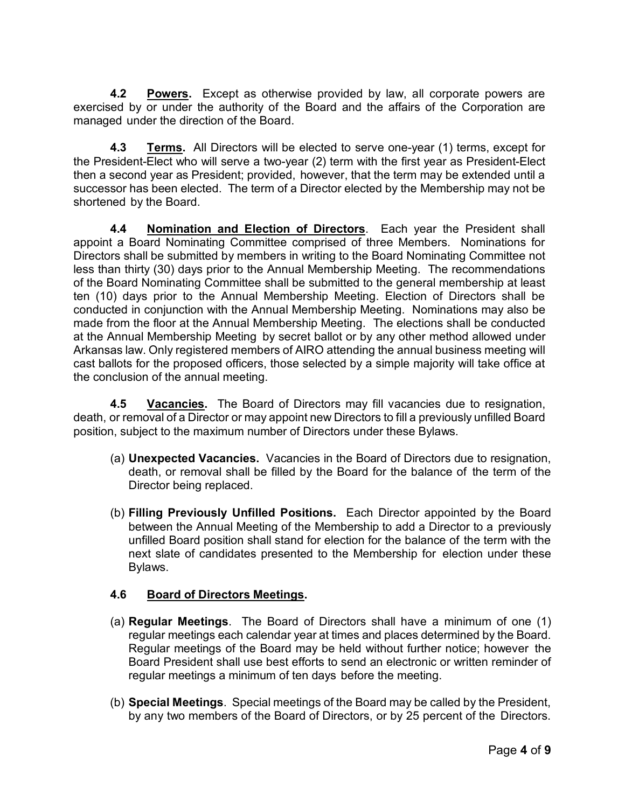**4.2 Powers.** Except as otherwise provided by law, all corporate powers are exercised by or under the authority of the Board and the affairs of the Corporation are managed under the direction of the Board.

**4.3 Terms.** All Directors will be elected to serve one-year (1) terms, except for the President-Elect who will serve a two-year (2) term with the first year as President-Elect then a second year as President; provided, however, that the term may be extended until a successor has been elected. The term of a Director elected by the Membership may not be shortened by the Board.

**4.4 Nomination and Election of Directors**. Each year the President shall appoint a Board Nominating Committee comprised of three Members. Nominations for Directors shall be submitted by members in writing to the Board Nominating Committee not less than thirty (30) days prior to the Annual Membership Meeting. The recommendations of the Board Nominating Committee shall be submitted to the general membership at least ten (10) days prior to the Annual Membership Meeting. Election of Directors shall be conducted in conjunction with the Annual Membership Meeting. Nominations may also be made from the floor at the Annual Membership Meeting. The elections shall be conducted at the Annual Membership Meeting by secret ballot or by any other method allowed under Arkansas law. Only registered members of AIRO attending the annual business meeting will cast ballots for the proposed officers, those selected by a simple majority will take office at the conclusion of the annual meeting.

**4.5 Vacancies.** The Board of Directors may fill vacancies due to resignation, death, or removal of a Director or may appoint new Directors to fill a previously unfilled Board position, subject to the maximum number of Directors under these Bylaws.

- (a) **Unexpected Vacancies.** Vacancies in the Board of Directors due to resignation, death, or removal shall be filled by the Board for the balance of the term of the Director being replaced.
- (b) **Filling Previously Unfilled Positions.** Each Director appointed by the Board between the Annual Meeting of the Membership to add a Director to a previously unfilled Board position shall stand for election for the balance of the term with the next slate of candidates presented to the Membership for election under these Bylaws.

#### **4.6 Board of Directors Meetings.**

- (a) **Regular Meetings**. The Board of Directors shall have a minimum of one (1) regular meetings each calendar year at times and places determined by the Board. Regular meetings of the Board may be held without further notice; however the Board President shall use best efforts to send an electronic or written reminder of regular meetings a minimum of ten days before the meeting.
- (b) **Special Meetings**. Special meetings of the Board may be called by the President, by any two members of the Board of Directors, or by 25 percent of the Directors.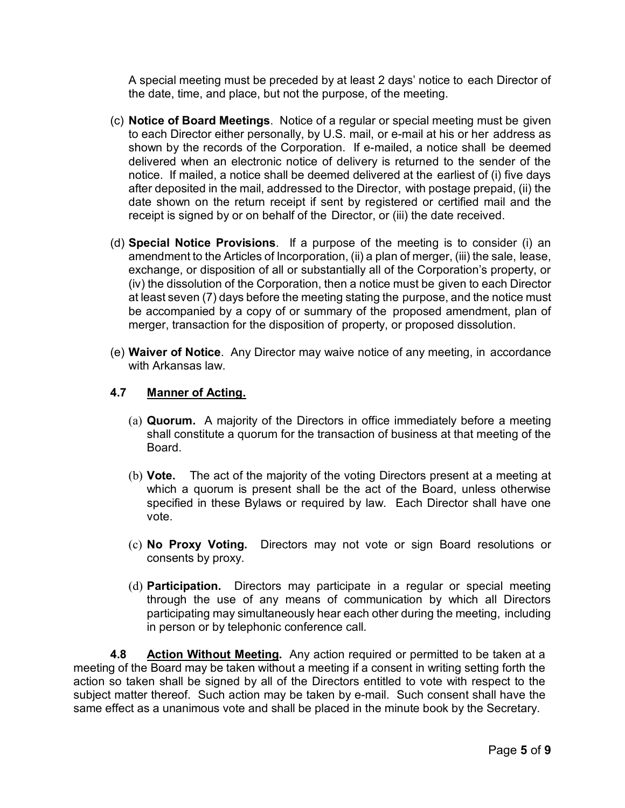A special meeting must be preceded by at least 2 days' notice to each Director of the date, time, and place, but not the purpose, of the meeting.

- (c) **Notice of Board Meetings**. Notice of a regular or special meeting must be given to each Director either personally, by U.S. mail, or e-mail at his or her address as shown by the records of the Corporation. If e-mailed, a notice shall be deemed delivered when an electronic notice of delivery is returned to the sender of the notice. If mailed, a notice shall be deemed delivered at the earliest of (i) five days after deposited in the mail, addressed to the Director, with postage prepaid, (ii) the date shown on the return receipt if sent by registered or certified mail and the receipt is signed by or on behalf of the Director, or (iii) the date received.
- (d) **Special Notice Provisions**. If a purpose of the meeting is to consider (i) an amendment to the Articles of Incorporation, (ii) a plan of merger, (iii) the sale, lease, exchange, or disposition of all or substantially all of the Corporation's property, or (iv) the dissolution of the Corporation, then a notice must be given to each Director at least seven (7) days before the meeting stating the purpose, and the notice must be accompanied by a copy of or summary of the proposed amendment, plan of merger, transaction for the disposition of property, or proposed dissolution.
- (e) **Waiver of Notice**. Any Director may waive notice of any meeting, in accordance with Arkansas law.

#### **4.7 Manner of Acting.**

- (a) **Quorum.** A majority of the Directors in office immediately before a meeting shall constitute a quorum for the transaction of business at that meeting of the **Board**
- (b) **Vote.** The act of the majority of the voting Directors present at a meeting at which a quorum is present shall be the act of the Board, unless otherwise specified in these Bylaws or required by law. Each Director shall have one vote.
- (c) **No Proxy Voting.** Directors may not vote or sign Board resolutions or consents by proxy.
- (d) **Participation.** Directors may participate in a regular or special meeting through the use of any means of communication by which all Directors participating may simultaneously hear each other during the meeting, including in person or by telephonic conference call.

**4.8 Action Without Meeting.** Any action required or permitted to be taken at a meeting of the Board may be taken without a meeting if a consent in writing setting forth the action so taken shall be signed by all of the Directors entitled to vote with respect to the subject matter thereof. Such action may be taken by e-mail. Such consent shall have the same effect as a unanimous vote and shall be placed in the minute book by the Secretary.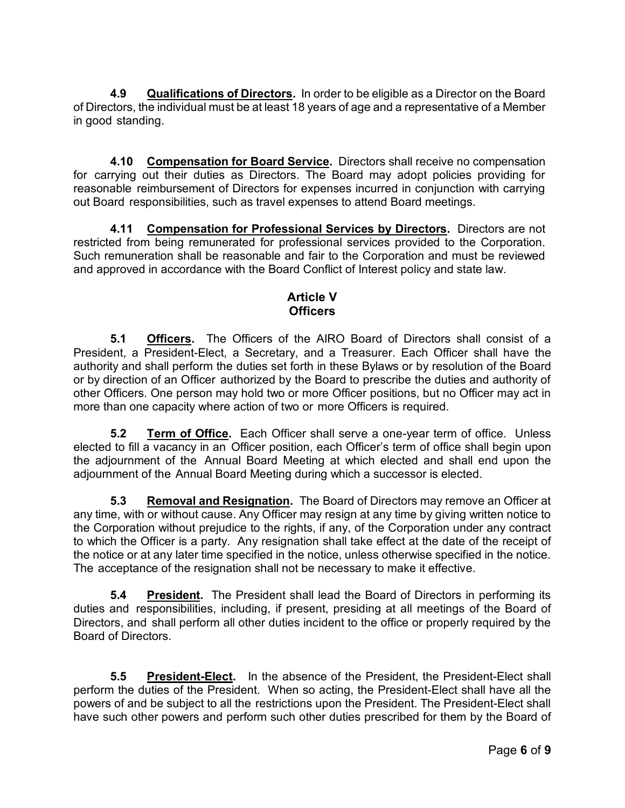**4.9 Qualifications of Directors.** In order to be eligible as a Director on the Board of Directors, the individual must be at least 18 years of age and a representative of a Member in good standing.

**4.10 Compensation for Board Service.** Directors shall receive no compensation for carrying out their duties as Directors. The Board may adopt policies providing for reasonable reimbursement of Directors for expenses incurred in conjunction with carrying out Board responsibilities, such as travel expenses to attend Board meetings.

**4.11 Compensation for Professional Services by Directors.** Directors are not restricted from being remunerated for professional services provided to the Corporation. Such remuneration shall be reasonable and fair to the Corporation and must be reviewed and approved in accordance with the Board Conflict of Interest policy and state law.

## **Article V Officers**

**5.1 Officers.** The Officers of the AIRO Board of Directors shall consist of a President, a President-Elect, a Secretary, and a Treasurer. Each Officer shall have the authority and shall perform the duties set forth in these Bylaws or by resolution of the Board or by direction of an Officer authorized by the Board to prescribe the duties and authority of other Officers. One person may hold two or more Officer positions, but no Officer may act in more than one capacity where action of two or more Officers is required.

**5.2 Term of Office.** Each Officer shall serve a one-year term of office. Unless elected to fill a vacancy in an Officer position, each Officer's term of office shall begin upon the adjournment of the Annual Board Meeting at which elected and shall end upon the adjournment of the Annual Board Meeting during which a successor is elected.

**5.3 Removal and Resignation.** The Board of Directors may remove an Officer at any time, with or without cause. Any Officer may resign at any time by giving written notice to the Corporation without prejudice to the rights, if any, of the Corporation under any contract to which the Officer is a party. Any resignation shall take effect at the date of the receipt of the notice or at any later time specified in the notice, unless otherwise specified in the notice. The acceptance of the resignation shall not be necessary to make it effective.

**5.4 President.** The President shall lead the Board of Directors in performing its duties and responsibilities, including, if present, presiding at all meetings of the Board of Directors, and shall perform all other duties incident to the office or properly required by the Board of Directors.

**5.5 President-Elect.** In the absence of the President, the President-Elect shall perform the duties of the President. When so acting, the President-Elect shall have all the powers of and be subject to all the restrictions upon the President. The President-Elect shall have such other powers and perform such other duties prescribed for them by the Board of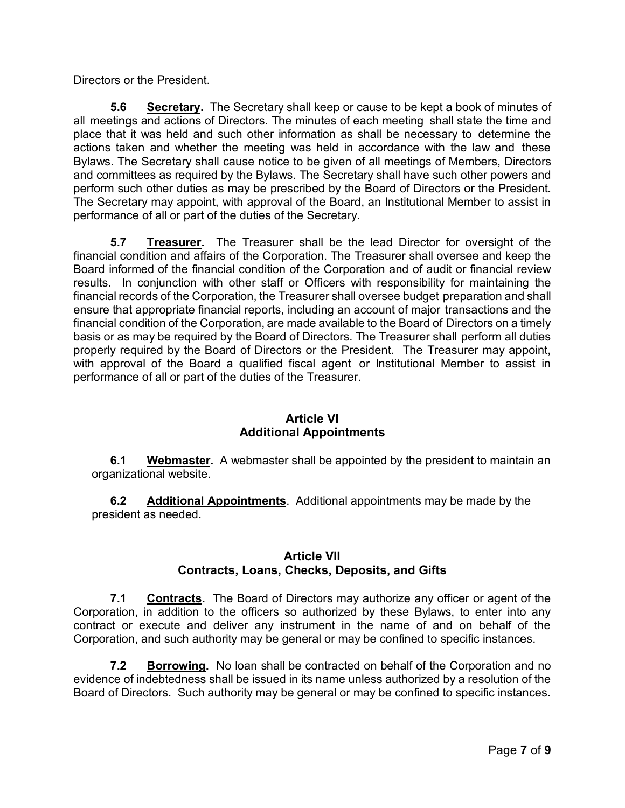Directors or the President.

**5.6 Secretary.** The Secretary shall keep or cause to be kept a book of minutes of all meetings and actions of Directors. The minutes of each meeting shall state the time and place that it was held and such other information as shall be necessary to determine the actions taken and whether the meeting was held in accordance with the law and these Bylaws. The Secretary shall cause notice to be given of all meetings of Members, Directors and committees as required by the Bylaws. The Secretary shall have such other powers and perform such other duties as may be prescribed by the Board of Directors or the President*.* The Secretary may appoint, with approval of the Board, an Institutional Member to assist in performance of all or part of the duties of the Secretary.

**5.7 Treasurer.** The Treasurer shall be the lead Director for oversight of the financial condition and affairs of the Corporation. The Treasurer shall oversee and keep the Board informed of the financial condition of the Corporation and of audit or financial review results. In conjunction with other staff or Officers with responsibility for maintaining the financial records of the Corporation, the Treasurer shall oversee budget preparation and shall ensure that appropriate financial reports, including an account of major transactions and the financial condition of the Corporation, are made available to the Board of Directors on a timely basis or as may be required by the Board of Directors. The Treasurer shall perform all duties properly required by the Board of Directors or the President. The Treasurer may appoint, with approval of the Board a qualified fiscal agent or Institutional Member to assist in performance of all or part of the duties of the Treasurer.

## **Article VI Additional Appointments**

**6.1 Webmaster.** A webmaster shall be appointed by the president to maintain an organizational website.

**6.2 Additional Appointments**. Additional appointments may be made by the president as needed.

## **Article VII Contracts, Loans, Checks, Deposits, and Gifts**

**7.1 Contracts.** The Board of Directors may authorize any officer or agent of the Corporation, in addition to the officers so authorized by these Bylaws, to enter into any contract or execute and deliver any instrument in the name of and on behalf of the Corporation, and such authority may be general or may be confined to specific instances.

**7.2 Borrowing.** No loan shall be contracted on behalf of the Corporation and no evidence of indebtedness shall be issued in its name unless authorized by a resolution of the Board of Directors. Such authority may be general or may be confined to specific instances.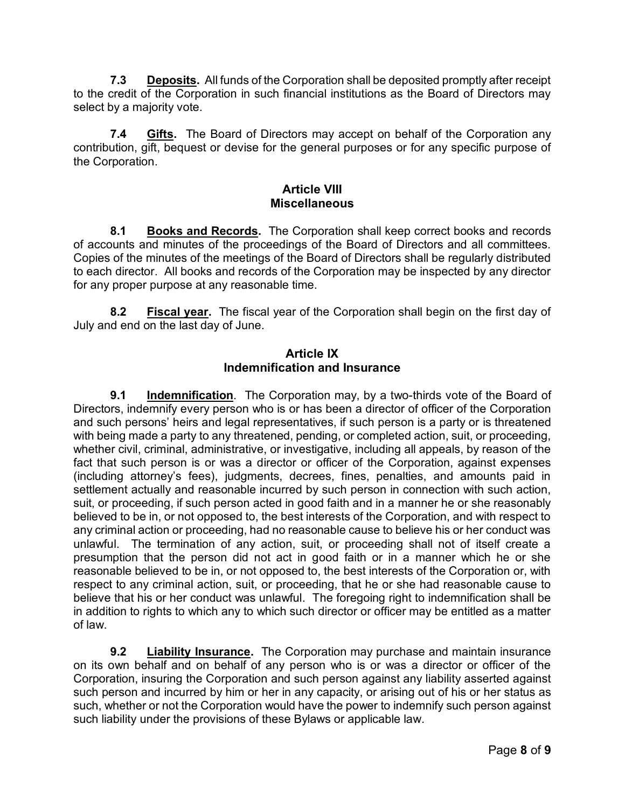**7.3 Deposits.** All funds of the Corporation shall be deposited promptly after receipt to the credit of the Corporation in such financial institutions as the Board of Directors may select by a majority vote.

**7.4 Gifts.** The Board of Directors may accept on behalf of the Corporation any contribution, gift, bequest or devise for the general purposes or for any specific purpose of the Corporation.

#### **Article VIII Miscellaneous**

**8.1 Books and Records.** The Corporation shall keep correct books and records of accounts and minutes of the proceedings of the Board of Directors and all committees. Copies of the minutes of the meetings of the Board of Directors shall be regularly distributed to each director. All books and records of the Corporation may be inspected by any director for any proper purpose at any reasonable time.

**8.2 Fiscal year.** The fiscal year of the Corporation shall begin on the first day of July and end on the last day of June.

#### **Article IX Indemnification and Insurance**

**9.1 Indemnification**. The Corporation may, by a two-thirds vote of the Board of Directors, indemnify every person who is or has been a director of officer of the Corporation and such persons' heirs and legal representatives, if such person is a party or is threatened with being made a party to any threatened, pending, or completed action, suit, or proceeding, whether civil, criminal, administrative, or investigative, including all appeals, by reason of the fact that such person is or was a director or officer of the Corporation, against expenses (including attorney's fees), judgments, decrees, fines, penalties, and amounts paid in settlement actually and reasonable incurred by such person in connection with such action, suit, or proceeding, if such person acted in good faith and in a manner he or she reasonably believed to be in, or not opposed to, the best interests of the Corporation, and with respect to any criminal action or proceeding, had no reasonable cause to believe his or her conduct was unlawful. The termination of any action, suit, or proceeding shall not of itself create a presumption that the person did not act in good faith or in a manner which he or she reasonable believed to be in, or not opposed to, the best interests of the Corporation or, with respect to any criminal action, suit, or proceeding, that he or she had reasonable cause to believe that his or her conduct was unlawful. The foregoing right to indemnification shall be in addition to rights to which any to which such director or officer may be entitled as a matter of law.

**9.2 Liability Insurance.** The Corporation may purchase and maintain insurance on its own behalf and on behalf of any person who is or was a director or officer of the Corporation, insuring the Corporation and such person against any liability asserted against such person and incurred by him or her in any capacity, or arising out of his or her status as such, whether or not the Corporation would have the power to indemnify such person against such liability under the provisions of these Bylaws or applicable law.